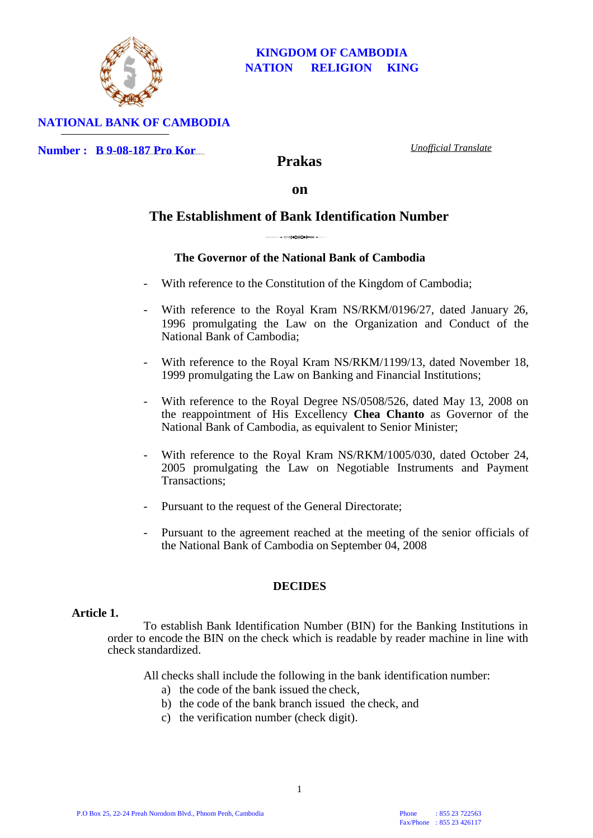

## **NATIONAL BANK OF CAMBODIA**

**Number : B 9-08-187 Pro Kor**

*Unofficial Translate*

**Prakas**

**on**

# **The Establishment of Bank Identification Number**

# **The Governor of the National Bank of Cambodia**

- With reference to the Constitution of the Kingdom of Cambodia;
- With reference to the Royal Kram NS/RKM/0196/27, dated January 26, 1996 promulgating the Law on the Organization and Conduct of the National Bank of Cambodia;
- With reference to the Royal Kram NS/RKM/1199/13, dated November 18, 1999 promulgating the Law on Banking and Financial Institutions;
- With reference to the Royal Degree NS/0508/526, dated May 13, 2008 on the reappointment of His Excellency **Chea Chanto** as Governor of the National Bank of Cambodia, as equivalent to Senior Minister;
- With reference to the Royal Kram NS/RKM/1005/030, dated October 24, 2005 promulgating the Law on Negotiable Instruments and Payment Transactions;
- Pursuant to the request of the General Directorate;
- Pursuant to the agreement reached at the meeting of the senior officials of the National Bank of Cambodia on September 04, 2008

#### **DECIDES**

#### **Article 1.**

To establish Bank Identification Number (BIN) for the Banking Institutions in order to encode the BIN on the check which is readable by reader machine in line with check standardized.

All checks shall include the following in the bank identification number:

- a) the code of the bank issued the check,
- b) the code of the bank branch issued the check, and
- c) the verification number (check digit).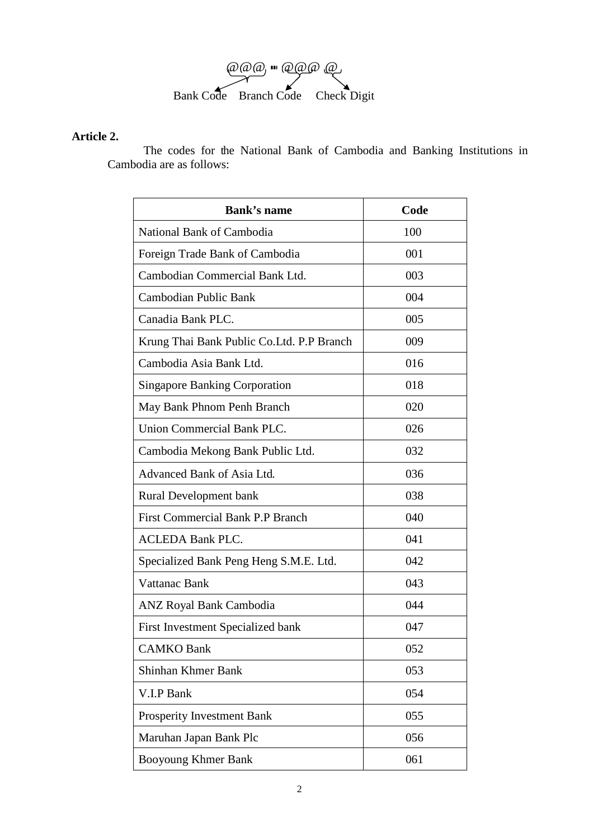

# **Article 2.**

The codes for the National Bank of Cambodia and Banking Institutions in Cambodia are as follows:

| <b>Bank's name</b>                         | Code |
|--------------------------------------------|------|
| National Bank of Cambodia                  | 100  |
| Foreign Trade Bank of Cambodia             | 001  |
| Cambodian Commercial Bank Ltd.             | 003  |
| Cambodian Public Bank                      | 004  |
| Canadia Bank PLC.                          | 005  |
| Krung Thai Bank Public Co. Ltd. P.P Branch | 009  |
| Cambodia Asia Bank Ltd.                    | 016  |
| <b>Singapore Banking Corporation</b>       | 018  |
| May Bank Phnom Penh Branch                 | 020  |
| Union Commercial Bank PLC.                 | 026  |
| Cambodia Mekong Bank Public Ltd.           | 032  |
| Advanced Bank of Asia Ltd.                 | 036  |
| <b>Rural Development bank</b>              | 038  |
| <b>First Commercial Bank P.P Branch</b>    | 040  |
| <b>ACLEDA Bank PLC.</b>                    | 041  |
| Specialized Bank Peng Heng S.M.E. Ltd.     | 042  |
| Vattanac Bank                              | 043  |
| <b>ANZ Royal Bank Cambodia</b>             | 044  |
| First Investment Specialized bank          | 047  |
| <b>CAMKO Bank</b>                          | 052  |
| Shinhan Khmer Bank                         | 053  |
| V.I.P Bank                                 | 054  |
| Prosperity Investment Bank                 | 055  |
| Maruhan Japan Bank Plc                     | 056  |
| Booyoung Khmer Bank                        | 061  |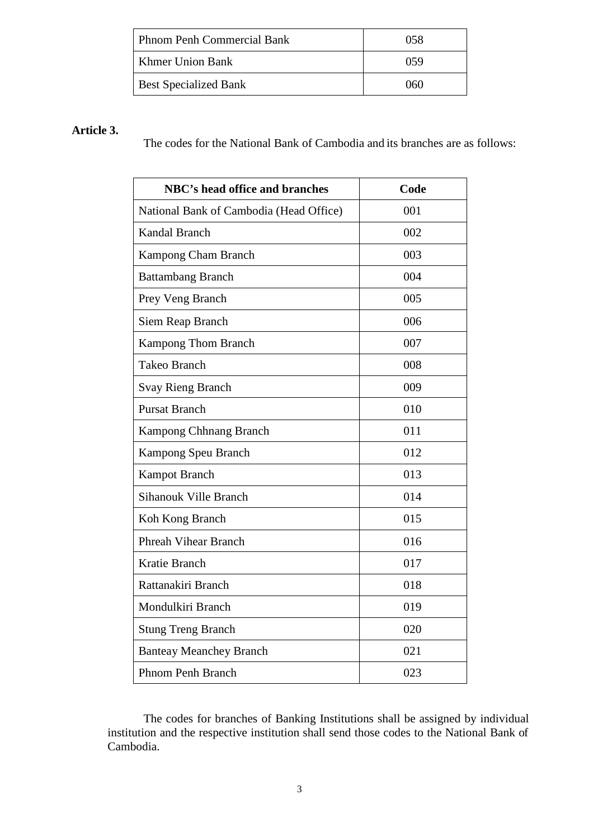| Phnom Penh Commercial Bank   | 058 |
|------------------------------|-----|
| Khmer Union Bank             | 059 |
| <b>Best Specialized Bank</b> | 060 |

# **Article 3.**

The codes for the National Bank of Cambodia and its branches are as follows:

| <b>NBC's head office and branches</b>   | Code |
|-----------------------------------------|------|
| National Bank of Cambodia (Head Office) | 001  |
| Kandal Branch                           | 002  |
| <b>Kampong Cham Branch</b>              | 003  |
| <b>Battambang Branch</b>                | 004  |
| Prey Veng Branch                        | 005  |
| Siem Reap Branch                        | 006  |
| <b>Kampong Thom Branch</b>              | 007  |
| <b>Takeo Branch</b>                     | 008  |
| <b>Svay Rieng Branch</b>                | 009  |
| <b>Pursat Branch</b>                    | 010  |
| Kampong Chhnang Branch                  | 011  |
| Kampong Speu Branch                     | 012  |
| <b>Kampot Branch</b>                    | 013  |
| Sihanouk Ville Branch                   | 014  |
| Koh Kong Branch                         | 015  |
| <b>Phreah Vihear Branch</b>             | 016  |
| Kratie Branch                           | 017  |
| Rattanakiri Branch                      | 018  |
| Mondulkiri Branch                       | 019  |
| <b>Stung Treng Branch</b>               | 020  |
| <b>Banteay Meanchey Branch</b>          | 021  |
| <b>Phnom Penh Branch</b>                | 023  |

The codes for branches of Banking Institutions shall be assigned by individual institution and the respective institution shall send those codes to the National Bank of Cambodia.